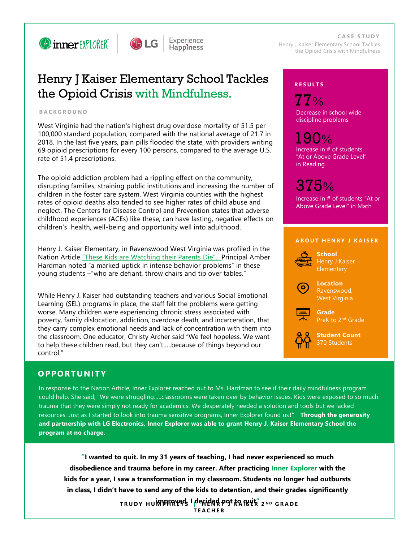



Experience **Happiness** 

**C A S E S T U D Y** Henry J Kaiser Elementary School Tackles the Opioid Crisis with Mindfulness

# Henry J Kaiser Elementary School Tackles the Opioid Crisis with Mindfulness.

### **B A C K G R O U N D**

West Virginia had the nation's highest drug overdose mortality of 51.5 per 100,000 standard population, compared with the national average of 21.7 in 2018. In the last five years, pain pills flooded the state, with providers writing 69 opioid prescriptions for every 100 persons, compared to the average U.S. rate of 51.4 prescriptions.

The opioid addiction problem had a rippling effect on the community, disrupting families, straining public institutions and increasing the number of children in the foster care system. West Virginia counties with the highest rates of opioid deaths also tended to see higher rates of child abuse and neglect. The Centers for Disease Control and Prevention states that adverse childhood experiences (ACEs) like these, can have lasting, negative effects on children's health, well-being and opportunity well into adulthood.

Henry J. Kaiser Elementary, in Ravenswood West Virginia was profiled in the Nation Article ["These Kids are Watching their Parents Die".](https://www.thenation.com/article/archive/kids-watching-parents-die/) Principal Amber Hardman noted "a marked uptick in intense behavior problems" in these young students –"who are defiant, throw chairs and tip over tables."

While Henry J. Kaiser had outstanding teachers and various Social Emotional Learning (SEL) programs in place, the staff felt the problems were getting worse. Many children were experiencing chronic stress associated with poverty, family dislocation, addiction, overdose death, and incarceration, that they carry complex emotional needs and lack of concentration with them into the classroom. One educator, Christy Archer said "We feel hopeless. We want to help these children read, but they can't…..because of things beyond our control."

# **OPPORTUNIT Y**

In response to the Nation Article, Inner Explorer reached out to Ms. Hardman to see if their daily mindfulness program could help. She said, "We were struggling…..classrooms were taken over by behavior issues. Kids were exposed to so much trauma that they were simply not ready for academics. We desperately needed a solution and tools but we lacked resources. Just as I started to look into trauma sensitive programs, Inner Explorer found us **!" Through the generosity and partnership with LG Electronics, Inner Explorer was able to grant Henry J. Kaiser Elementary School the program at no charge.**

**"I wanted to quit. In my 31 years of teaching, I had never experienced so much disobedience and trauma before in my career. After practicing Inner Explorer with the kids for a year, I saw a transformation in my classroom. Students no longer had outbursts in class, I didn't have to send any of the kids to detention, and their grades significantly** 

> **improved. I decided not to quit" T R U D Y H U M P H R E Y S | H E N R Y J K A I S E R 2 N D G R A D E T E A C H E R**

# **R E S U L T S**

Decrease in school wide discipline problems 77%

Increase in # of students "At or Above Grade Level" in Reading 190%

# 375%

Increase in # of students "At or Above Grade Level" in Math

# **A BOUT HENRY J KAISER**



**School** Henry J Kaiser **Elementary** 

**Location** Ravenswood, West Virginia

**Grade** PreK to 2nd Grade



**Student Count** 370 Students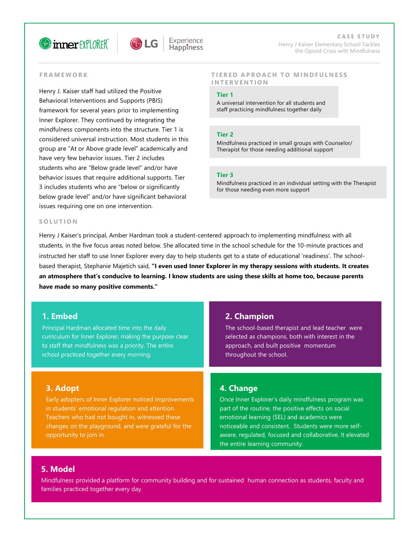



**C A S E S T U D Y** Henry J Kaiser Elementary School Tackles the Opioid Crisis with Mindfulness

### **F R A M E W O R K**

Henry J. Kaiser staff had utilized the Positive Behavioral Interventions and Supports (PBIS) framework for several years prior to implementing Inner Explorer. They continued by integrating the mindfulness components into the structure. Tier 1 is considered universal instruction. Most students in this group are "At or Above grade level" academically and have very few behavior issues. Tier 2 includes students who are "Below grade level" and/or have behavior issues that require additional supports. Tier 3 includes students who are "below or significantly below grade level" and/or have significant behavioral issues requiring one on one intervention.

#### **TIERED APROACH TO MINDFULNESS I N T E R V E N T I O N**

### **Tier 1**

A universal intervention for all students and staff practicing mindfulness together daily

#### **Tier 2**

Mindfulness practiced in small groups with Counselor/ Therapist for those needing additional support

#### **Tier 3**

Mindfulness practiced in an individual setting with the Therapist for those needing even more support

#### **S O L U T I O N**

Henry J Kaiser's principal, Amber Hardman took a student-centered approach to implementing mindfulness with all students, in the five focus areas noted below. She allocated time in the school schedule for the 10-minute practices and instructed her staff to use Inner Explorer every day to help students get to a state of educational 'readiness'. The schoolbased therapist, Stephanie Majetich said, **"I even used Inner Explorer in my therapy sessions with students. It creates an atmosphere that's conducive to learning. I know students are using these skills at home too, because parents have made so many positive comments."** 

# **1. Embed**

Principal Hardman allocated time into the daily curriculum for Inner Explorer, making the purpose clear to staff that mindfulness was a priority. The entire school practiced together every morning.

# **3. Adopt**

Early adopters of Inner Explorer noticed improvements in students' emotional regulation and attention. Teachers who had not bought in, witnessed these changes on the playground, and were grateful for the opportunity to join in.

# **2. Champion**

The school-based therapist and lead teacher were selected as champions, both with interest in the approach, and built positive momentum throughout the school.

# **4. Change**

Once Inner Explorer's daily mindfulness program was part of the routine, the positive effects on social emotional learning (SEL) and academics were noticeable and consistent. Students were more selfaware, regulated, focused and collaborative. It elevated the entire learning community.

# **5. Model**

Mindfulness provided a platform for community building and for sustained human connection as students, faculty and families practiced together every day.